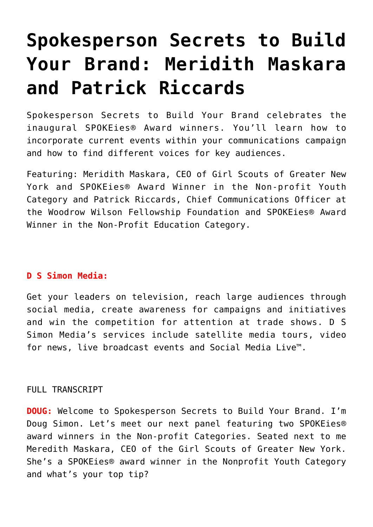## **[Spokesperson Secrets to Build](https://www.commpro.biz/spokesperson-secrets-to-build-your-brand-meridith-maskara-and-patrick-riccards/) [Your Brand: Meridith Maskara](https://www.commpro.biz/spokesperson-secrets-to-build-your-brand-meridith-maskara-and-patrick-riccards/) [and Patrick Riccards](https://www.commpro.biz/spokesperson-secrets-to-build-your-brand-meridith-maskara-and-patrick-riccards/)**

Spokesperson Secrets to Build Your Brand celebrates the inaugural SPOKEies® Award winners. You'll learn how to incorporate current events within your communications campaign and how to find different voices for key audiences.

Featuring: Meridith Maskara, CEO of Girl Scouts of Greater New York and SPOKEies® Award Winner in the Non-profit Youth Category and Patrick Riccards, Chief Communications Officer at the Woodrow Wilson Fellowship Foundation and SPOKEies® Award Winner in the Non-Profit Education Category.

## **[D S Simon Media:](https://www.dssimon.com/)**

Get your leaders on television, reach large audiences through social media, create awareness for campaigns and initiatives and win the competition for attention at trade shows. D S Simon Media's services include satellite media tours, video for news, live broadcast events and Social Media Live™.

## FULL TRANSCRIPT

**DOUG:** Welcome to Spokesperson Secrets to Build Your Brand. I'm Doug Simon. Let's meet our next panel featuring two SPOKEies® award winners in the Non-profit Categories. Seated next to me Meredith Maskara, CEO of the Girl Scouts of Greater New York. She's a SPOKEies® award winner in the Nonprofit Youth Category and what's your top tip?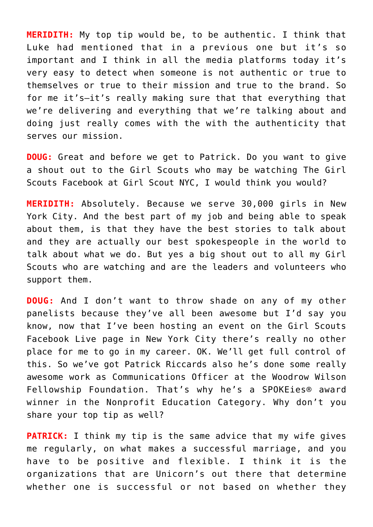**MERIDITH:** My top tip would be, to be authentic. I think that Luke had mentioned that in a previous one but it's so important and I think in all the media platforms today it's very easy to detect when someone is not authentic or true to themselves or true to their mission and true to the brand. So for me it's–it's really making sure that that everything that we're delivering and everything that we're talking about and doing just really comes with the with the authenticity that serves our mission.

**DOUG:** Great and before we get to Patrick. Do you want to give a shout out to the Girl Scouts who may be watching The Girl Scouts Facebook at Girl Scout NYC, I would think you would?

**MERIDITH:** Absolutely. Because we serve 30,000 girls in New York City. And the best part of my job and being able to speak about them, is that they have the best stories to talk about and they are actually our best spokespeople in the world to talk about what we do. But yes a big shout out to all my Girl Scouts who are watching and are the leaders and volunteers who support them.

**DOUG:** And I don't want to throw shade on any of my other panelists because they've all been awesome but I'd say you know, now that I've been hosting an event on the Girl Scouts Facebook Live page in New York City there's really no other place for me to go in my career. OK. We'll get full control of this. So we've got Patrick Riccards also he's done some really awesome work as Communications Officer at the Woodrow Wilson Fellowship Foundation. That's why he's a SPOKEies® award winner in the Nonprofit Education Category. Why don't you share your top tip as well?

**PATRICK:** I think my tip is the same advice that my wife gives me regularly, on what makes a successful marriage, and you have to be positive and flexible. I think it is the organizations that are Unicorn's out there that determine whether one is successful or not based on whether they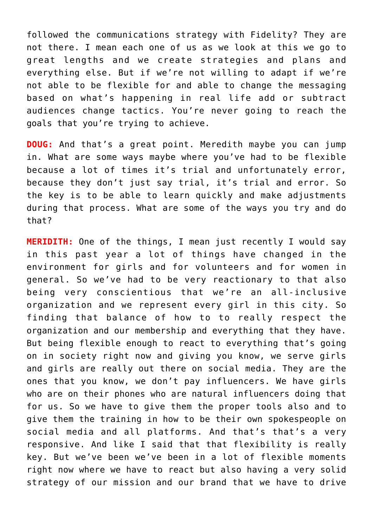followed the communications strategy with Fidelity? They are not there. I mean each one of us as we look at this we go to great lengths and we create strategies and plans and everything else. But if we're not willing to adapt if we're not able to be flexible for and able to change the messaging based on what's happening in real life add or subtract audiences change tactics. You're never going to reach the goals that you're trying to achieve.

**DOUG:** And that's a great point. Meredith maybe you can jump in. What are some ways maybe where you've had to be flexible because a lot of times it's trial and unfortunately error, because they don't just say trial, it's trial and error. So the key is to be able to learn quickly and make adjustments during that process. What are some of the ways you try and do that?

**MERIDITH:** One of the things, I mean just recently I would say in this past year a lot of things have changed in the environment for girls and for volunteers and for women in general. So we've had to be very reactionary to that also being very conscientious that we're an all-inclusive organization and we represent every girl in this city. So finding that balance of how to to really respect the organization and our membership and everything that they have. But being flexible enough to react to everything that's going on in society right now and giving you know, we serve girls and girls are really out there on social media. They are the ones that you know, we don't pay influencers. We have girls who are on their phones who are natural influencers doing that for us. So we have to give them the proper tools also and to give them the training in how to be their own spokespeople on social media and all platforms. And that's that's a very responsive. And like I said that that flexibility is really key. But we've been we've been in a lot of flexible moments right now where we have to react but also having a very solid strategy of our mission and our brand that we have to drive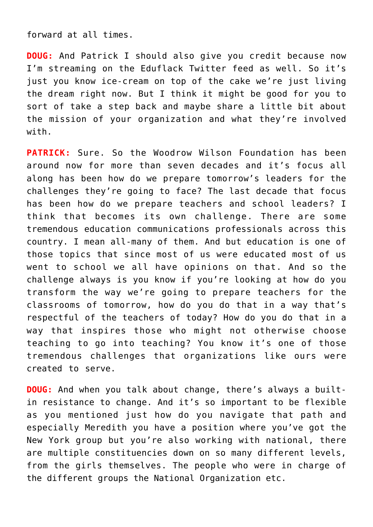forward at all times.

**DOUG:** And Patrick I should also give you credit because now I'm streaming on the Eduflack Twitter feed as well. So it's just you know ice-cream on top of the cake we're just living the dream right now. But I think it might be good for you to sort of take a step back and maybe share a little bit about the mission of your organization and what they're involved with.

**PATRICK:** Sure, So the Woodrow Wilson Foundation has been around now for more than seven decades and it's focus all along has been how do we prepare tomorrow's leaders for the challenges they're going to face? The last decade that focus has been how do we prepare teachers and school leaders? I think that becomes its own challenge. There are some tremendous education communications professionals across this country. I mean all-many of them. And but education is one of those topics that since most of us were educated most of us went to school we all have opinions on that. And so the challenge always is you know if you're looking at how do you transform the way we're going to prepare teachers for the classrooms of tomorrow, how do you do that in a way that's respectful of the teachers of today? How do you do that in a way that inspires those who might not otherwise choose teaching to go into teaching? You know it's one of those tremendous challenges that organizations like ours were created to serve.

**DOUG:** And when you talk about change, there's always a builtin resistance to change. And it's so important to be flexible as you mentioned just how do you navigate that path and especially Meredith you have a position where you've got the New York group but you're also working with national, there are multiple constituencies down on so many different levels, from the girls themselves. The people who were in charge of the different groups the National Organization etc.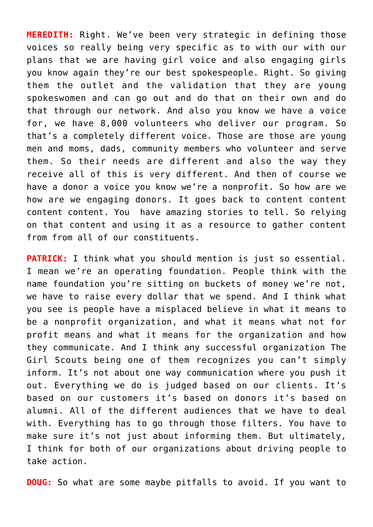**MEREDITH:** Right. We've been very strategic in defining those voices so really being very specific as to with our with our plans that we are having girl voice and also engaging girls you know again they're our best spokespeople. Right. So giving them the outlet and the validation that they are young spokeswomen and can go out and do that on their own and do that through our network. And also you know we have a voice for, we have 8,000 volunteers who deliver our program. So that's a completely different voice. Those are those are young men and moms, dads, community members who volunteer and serve them. So their needs are different and also the way they receive all of this is very different. And then of course we have a donor a voice you know we're a nonprofit. So how are we how are we engaging donors. It goes back to content content content content. You have amazing stories to tell. So relying on that content and using it as a resource to gather content from from all of our constituents.

**PATRICK:** I think what you should mention is just so essential. I mean we're an operating foundation. People think with the name foundation you're sitting on buckets of money we're not, we have to raise every dollar that we spend. And I think what you see is people have a misplaced believe in what it means to be a nonprofit organization, and what it means what not for profit means and what it means for the organization and how they communicate. And I think any successful organization The Girl Scouts being one of them recognizes you can't simply inform. It's not about one way communication where you push it out. Everything we do is judged based on our clients. It's based on our customers it's based on donors it's based on alumni. All of the different audiences that we have to deal with. Everything has to go through those filters. You have to make sure it's not just about informing them. But ultimately, I think for both of our organizations about driving people to take action.

**DOUG:** So what are some maybe pitfalls to avoid. If you want to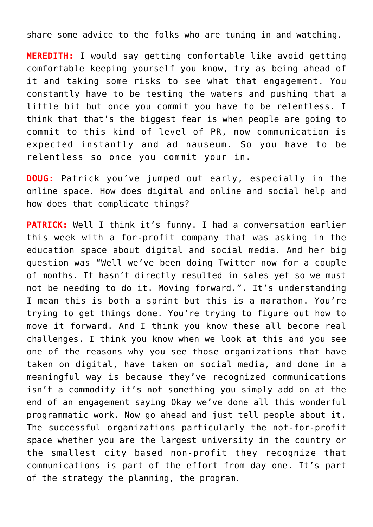share some advice to the folks who are tuning in and watching.

**MEREDITH:** I would say getting comfortable like avoid getting comfortable keeping yourself you know, try as being ahead of it and taking some risks to see what that engagement. You constantly have to be testing the waters and pushing that a little bit but once you commit you have to be relentless. I think that that's the biggest fear is when people are going to commit to this kind of level of PR, now communication is expected instantly and ad nauseum. So you have to be relentless so once you commit your in.

**DOUG:** Patrick you've jumped out early, especially in the online space. How does digital and online and social help and how does that complicate things?

**PATRICK:** Well I think it's funny. I had a conversation earlier this week with a for-profit company that was asking in the education space about digital and social media. And her big question was "Well we've been doing Twitter now for a couple of months. It hasn't directly resulted in sales yet so we must not be needing to do it. Moving forward.". It's understanding I mean this is both a sprint but this is a marathon. You're trying to get things done. You're trying to figure out how to move it forward. And I think you know these all become real challenges. I think you know when we look at this and you see one of the reasons why you see those organizations that have taken on digital, have taken on social media, and done in a meaningful way is because they've recognized communications isn't a commodity it's not something you simply add on at the end of an engagement saying Okay we've done all this wonderful programmatic work. Now go ahead and just tell people about it. The successful organizations particularly the not-for-profit space whether you are the largest university in the country or the smallest city based non-profit they recognize that communications is part of the effort from day one. It's part of the strategy the planning, the program.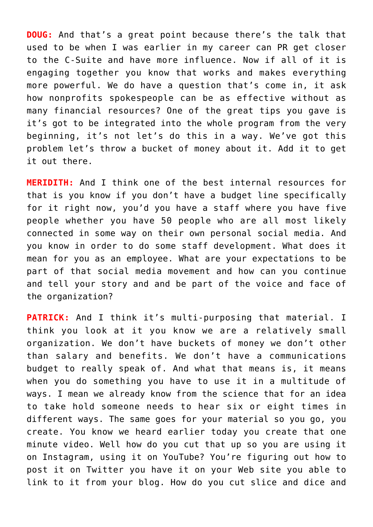**DOUG:** And that's a great point because there's the talk that used to be when I was earlier in my career can PR get closer to the C-Suite and have more influence. Now if all of it is engaging together you know that works and makes everything more powerful. We do have a question that's come in, it ask how nonprofits spokespeople can be as effective without as many financial resources? One of the great tips you gave is it's got to be integrated into the whole program from the very beginning, it's not let's do this in a way. We've got this problem let's throw a bucket of money about it. Add it to get it out there.

**MERIDITH:** And I think one of the best internal resources for that is you know if you don't have a budget line specifically for it right now, you'd you have a staff where you have five people whether you have 50 people who are all most likely connected in some way on their own personal social media. And you know in order to do some staff development. What does it mean for you as an employee. What are your expectations to be part of that social media movement and how can you continue and tell your story and and be part of the voice and face of the organization?

**PATRICK:** And I think it's multi-purposing that material. I think you look at it you know we are a relatively small organization. We don't have buckets of money we don't other than salary and benefits. We don't have a communications budget to really speak of. And what that means is, it means when you do something you have to use it in a multitude of ways. I mean we already know from the science that for an idea to take hold someone needs to hear six or eight times in different ways. The same goes for your material so you go, you create. You know we heard earlier today you create that one minute video. Well how do you cut that up so you are using it on Instagram, using it on YouTube? You're figuring out how to post it on Twitter you have it on your Web site you able to link to it from your blog. How do you cut slice and dice and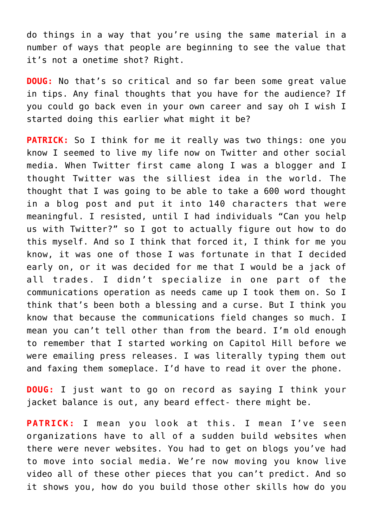do things in a way that you're using the same material in a number of ways that people are beginning to see the value that it's not a onetime shot? Right.

**DOUG:** No that's so critical and so far been some great value in tips. Any final thoughts that you have for the audience? If you could go back even in your own career and say oh I wish I started doing this earlier what might it be?

**PATRICK:** So I think for me it really was two things: one you know I seemed to live my life now on Twitter and other social media. When Twitter first came along I was a blogger and I thought Twitter was the silliest idea in the world. The thought that I was going to be able to take a 600 word thought in a blog post and put it into 140 characters that were meaningful. I resisted, until I had individuals "Can you help us with Twitter?" so I got to actually figure out how to do this myself. And so I think that forced it, I think for me you know, it was one of those I was fortunate in that I decided early on, or it was decided for me that I would be a jack of all trades. I didn't specialize in one part of the communications operation as needs came up I took them on. So I think that's been both a blessing and a curse. But I think you know that because the communications field changes so much. I mean you can't tell other than from the beard. I'm old enough to remember that I started working on Capitol Hill before we were emailing press releases. I was literally typing them out and faxing them someplace. I'd have to read it over the phone.

**DOUG:** I just want to go on record as saying I think your jacket balance is out, any beard effect- there might be.

**PATRICK:** I mean you look at this. I mean I've seen organizations have to all of a sudden build websites when there were never websites. You had to get on blogs you've had to move into social media. We're now moving you know live video all of these other pieces that you can't predict. And so it shows you, how do you build those other skills how do you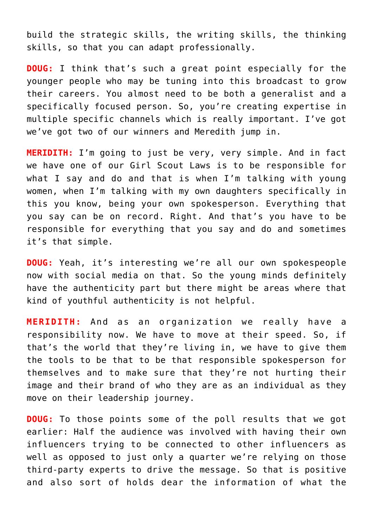build the strategic skills, the writing skills, the thinking skills, so that you can adapt professionally.

**DOUG:** I think that's such a great point especially for the younger people who may be tuning into this broadcast to grow their careers. You almost need to be both a generalist and a specifically focused person. So, you're creating expertise in multiple specific channels which is really important. I've got we've got two of our winners and Meredith jump in.

**MERIDITH:** I'm going to just be very, very simple. And in fact we have one of our Girl Scout Laws is to be responsible for what I say and do and that is when I'm talking with young women, when I'm talking with my own daughters specifically in this you know, being your own spokesperson. Everything that you say can be on record. Right. And that's you have to be responsible for everything that you say and do and sometimes it's that simple.

**DOUG:** Yeah, it's interesting we're all our own spokespeople now with social media on that. So the young minds definitely have the authenticity part but there might be areas where that kind of youthful authenticity is not helpful.

**MERIDITH:** And as an organization we really have a responsibility now. We have to move at their speed. So, if that's the world that they're living in, we have to give them the tools to be that to be that responsible spokesperson for themselves and to make sure that they're not hurting their image and their brand of who they are as an individual as they move on their leadership journey.

**DOUG:** To those points some of the poll results that we got earlier: Half the audience was involved with having their own influencers trying to be connected to other influencers as well as opposed to just only a quarter we're relying on those third-party experts to drive the message. So that is positive and also sort of holds dear the information of what the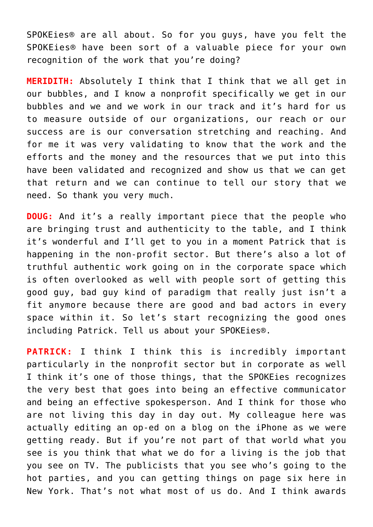SPOKEies® are all about. So for you guys, have you felt the SPOKEies® have been sort of a valuable piece for your own recognition of the work that you're doing?

**MERIDITH:** Absolutely I think that I think that we all get in our bubbles, and I know a nonprofit specifically we get in our bubbles and we and we work in our track and it's hard for us to measure outside of our organizations, our reach or our success are is our conversation stretching and reaching. And for me it was very validating to know that the work and the efforts and the money and the resources that we put into this have been validated and recognized and show us that we can get that return and we can continue to tell our story that we need. So thank you very much.

**DOUG:** And it's a really important piece that the people who are bringing trust and authenticity to the table, and I think it's wonderful and I'll get to you in a moment Patrick that is happening in the non-profit sector. But there's also a lot of truthful authentic work going on in the corporate space which is often overlooked as well with people sort of getting this good guy, bad guy kind of paradigm that really just isn't a fit anymore because there are good and bad actors in every space within it. So let's start recognizing the good ones including Patrick. Tell us about your SPOKEies®.

**PATRICK:** I think I think this is incredibly important particularly in the nonprofit sector but in corporate as well I think it's one of those things, that the SPOKEies recognizes the very best that goes into being an effective communicator and being an effective spokesperson. And I think for those who are not living this day in day out. My colleague here was actually editing an op-ed on a blog on the iPhone as we were getting ready. But if you're not part of that world what you see is you think that what we do for a living is the job that you see on TV. The publicists that you see who's going to the hot parties, and you can getting things on page six here in New York. That's not what most of us do. And I think awards